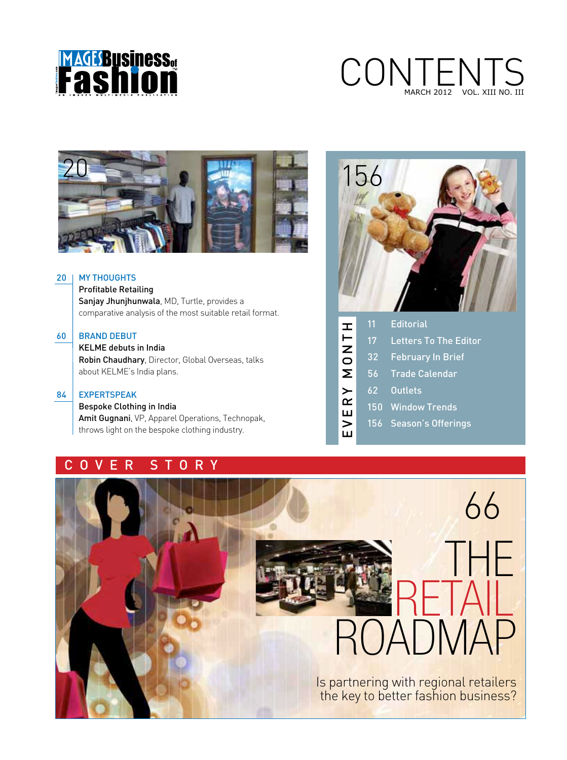

# CONTENTS VOL. XIII NO. III



# 20 | MY THOUGHTS

 Profitable Retailing Sanjay Jhunjhunwala, MD, Turtle, provides a comparative analysis of the most suitable retail format.

# 60 BRAND DEBUT

 KELME debuts in India Robin Chaudhary, Director, Global Overseas, talks about KELME's India plans.

#### 84 EXPERTSPEAK

 Bespoke Clothing in India Amit Gugnani, VP, Apparel Operations, Technopak, throws light on the bespoke clothing industry.

# C O V E R S T O R Y



| 프              | '11 | <b>Editorial</b>             |
|----------------|-----|------------------------------|
|                | 17  | <b>Letters To The Editor</b> |
| $\overline{a}$ | 32  | <b>February In Brief</b>     |
| Σ              | 56  | <b>Trade Calendar</b>        |
| RY             | 62  | <b>Outlets</b>               |
| ш              | 150 | <b>Window Trends</b>         |
|                |     | 156 Season's Offerings       |
|                |     |                              |